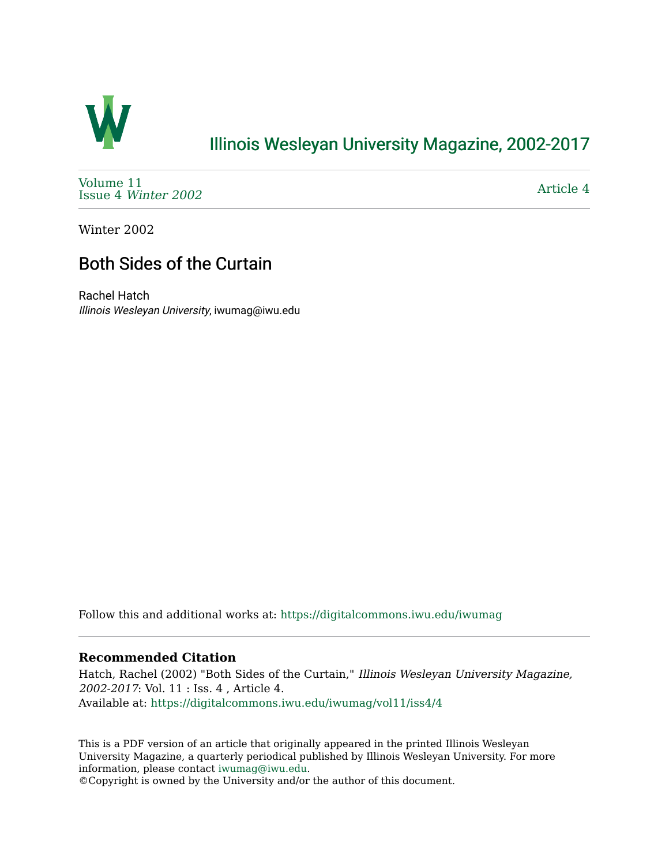

## [Illinois Wesleyan University Magazine, 2002-2017](https://digitalcommons.iwu.edu/iwumag)

[Volume 11](https://digitalcommons.iwu.edu/iwumag/vol11)  Issue 4 [Winter 2002](https://digitalcommons.iwu.edu/iwumag/vol11/iss4) 

[Article 4](https://digitalcommons.iwu.edu/iwumag/vol11/iss4/4) 

Winter 2002

# Both Sides of the Curtain

Rachel Hatch Illinois Wesleyan University, iwumag@iwu.edu

Follow this and additional works at: [https://digitalcommons.iwu.edu/iwumag](https://digitalcommons.iwu.edu/iwumag?utm_source=digitalcommons.iwu.edu%2Fiwumag%2Fvol11%2Fiss4%2F4&utm_medium=PDF&utm_campaign=PDFCoverPages) 

#### **Recommended Citation**

Hatch, Rachel (2002) "Both Sides of the Curtain," Illinois Wesleyan University Magazine, 2002-2017: Vol. 11 : Iss. 4 , Article 4. Available at: [https://digitalcommons.iwu.edu/iwumag/vol11/iss4/4](https://digitalcommons.iwu.edu/iwumag/vol11/iss4/4?utm_source=digitalcommons.iwu.edu%2Fiwumag%2Fvol11%2Fiss4%2F4&utm_medium=PDF&utm_campaign=PDFCoverPages)

This is a PDF version of an article that originally appeared in the printed Illinois Wesleyan University Magazine, a quarterly periodical published by Illinois Wesleyan University. For more information, please contact [iwumag@iwu.edu](mailto:iwumag@iwu.edu).

©Copyright is owned by the University and/or the author of this document.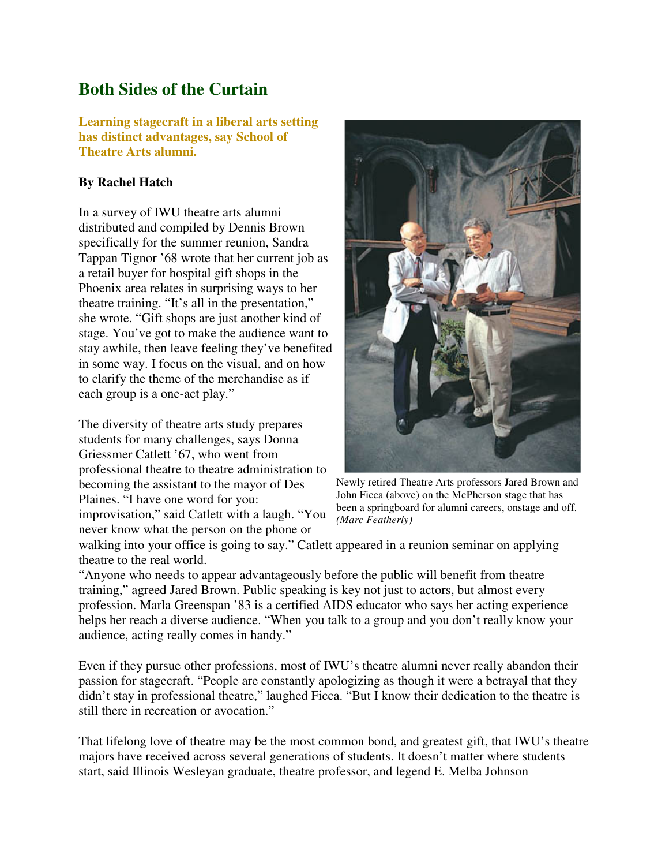### **Both Sides of the Curtain**

**Learning stagecraft in a liberal arts setting has distinct advantages, say School of Theatre Arts alumni.** 

#### **By Rachel Hatch**

In a survey of IWU theatre arts alumni distributed and compiled by Dennis Brown specifically for the summer reunion, Sandra Tappan Tignor '68 wrote that her current job as a retail buyer for hospital gift shops in the Phoenix area relates in surprising ways to her theatre training. "It's all in the presentation," she wrote. "Gift shops are just another kind of stage. You've got to make the audience want to stay awhile, then leave feeling they've benefited in some way. I focus on the visual, and on how to clarify the theme of the merchandise as if each group is a one-act play."

The diversity of theatre arts study prepares students for many challenges, says Donna Griessmer Catlett '67, who went from professional theatre to theatre administration to becoming the assistant to the mayor of Des Plaines. "I have one word for you: improvisation," said Catlett with a laugh. "You never know what the person on the phone or



Newly retired Theatre Arts professors Jared Brown and John Ficca (above) on the McPherson stage that has been a springboard for alumni careers, onstage and off. *(Marc Featherly)*

walking into your office is going to say." Catlett appeared in a reunion seminar on applying theatre to the real world.

"Anyone who needs to appear advantageously before the public will benefit from theatre training," agreed Jared Brown. Public speaking is key not just to actors, but almost every profession. Marla Greenspan '83 is a certified AIDS educator who says her acting experience helps her reach a diverse audience. "When you talk to a group and you don't really know your audience, acting really comes in handy."

Even if they pursue other professions, most of IWU's theatre alumni never really abandon their passion for stagecraft. "People are constantly apologizing as though it were a betrayal that they didn't stay in professional theatre," laughed Ficca. "But I know their dedication to the theatre is still there in recreation or avocation."

That lifelong love of theatre may be the most common bond, and greatest gift, that IWU's theatre majors have received across several generations of students. It doesn't matter where students start, said Illinois Wesleyan graduate, theatre professor, and legend E. Melba Johnson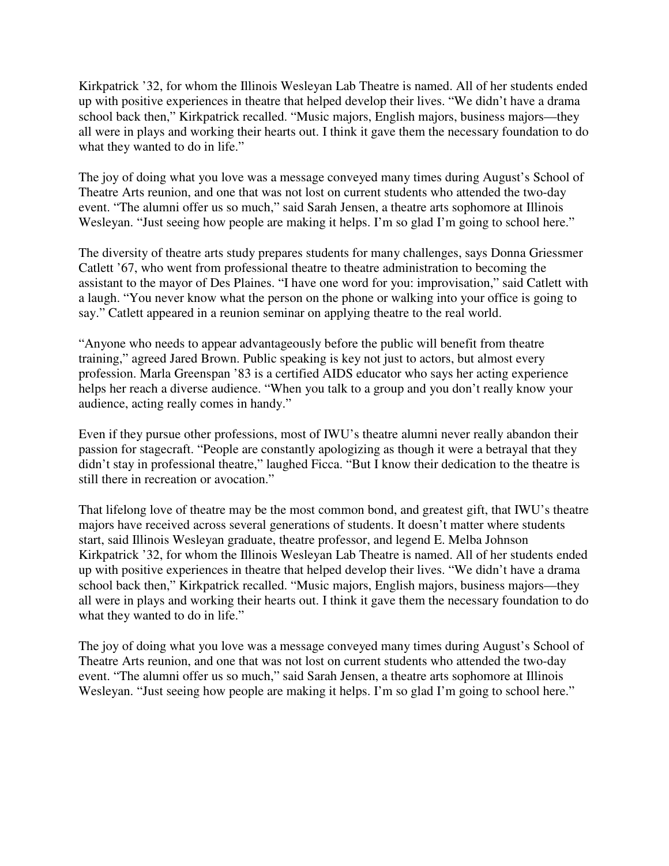Kirkpatrick '32, for whom the Illinois Wesleyan Lab Theatre is named. All of her students ended up with positive experiences in theatre that helped develop their lives. "We didn't have a drama school back then," Kirkpatrick recalled. "Music majors, English majors, business majors—they all were in plays and working their hearts out. I think it gave them the necessary foundation to do what they wanted to do in life."

The joy of doing what you love was a message conveyed many times during August's School of Theatre Arts reunion, and one that was not lost on current students who attended the two-day event. "The alumni offer us so much," said Sarah Jensen, a theatre arts sophomore at Illinois Wesleyan. "Just seeing how people are making it helps. I'm so glad I'm going to school here."

The diversity of theatre arts study prepares students for many challenges, says Donna Griessmer Catlett '67, who went from professional theatre to theatre administration to becoming the assistant to the mayor of Des Plaines. "I have one word for you: improvisation," said Catlett with a laugh. "You never know what the person on the phone or walking into your office is going to say." Catlett appeared in a reunion seminar on applying theatre to the real world.

"Anyone who needs to appear advantageously before the public will benefit from theatre training," agreed Jared Brown. Public speaking is key not just to actors, but almost every profession. Marla Greenspan '83 is a certified AIDS educator who says her acting experience helps her reach a diverse audience. "When you talk to a group and you don't really know your audience, acting really comes in handy."

Even if they pursue other professions, most of IWU's theatre alumni never really abandon their passion for stagecraft. "People are constantly apologizing as though it were a betrayal that they didn't stay in professional theatre," laughed Ficca. "But I know their dedication to the theatre is still there in recreation or avocation."

That lifelong love of theatre may be the most common bond, and greatest gift, that IWU's theatre majors have received across several generations of students. It doesn't matter where students start, said Illinois Wesleyan graduate, theatre professor, and legend E. Melba Johnson Kirkpatrick '32, for whom the Illinois Wesleyan Lab Theatre is named. All of her students ended up with positive experiences in theatre that helped develop their lives. "We didn't have a drama school back then," Kirkpatrick recalled. "Music majors, English majors, business majors—they all were in plays and working their hearts out. I think it gave them the necessary foundation to do what they wanted to do in life."

The joy of doing what you love was a message conveyed many times during August's School of Theatre Arts reunion, and one that was not lost on current students who attended the two-day event. "The alumni offer us so much," said Sarah Jensen, a theatre arts sophomore at Illinois Wesleyan. "Just seeing how people are making it helps. I'm so glad I'm going to school here."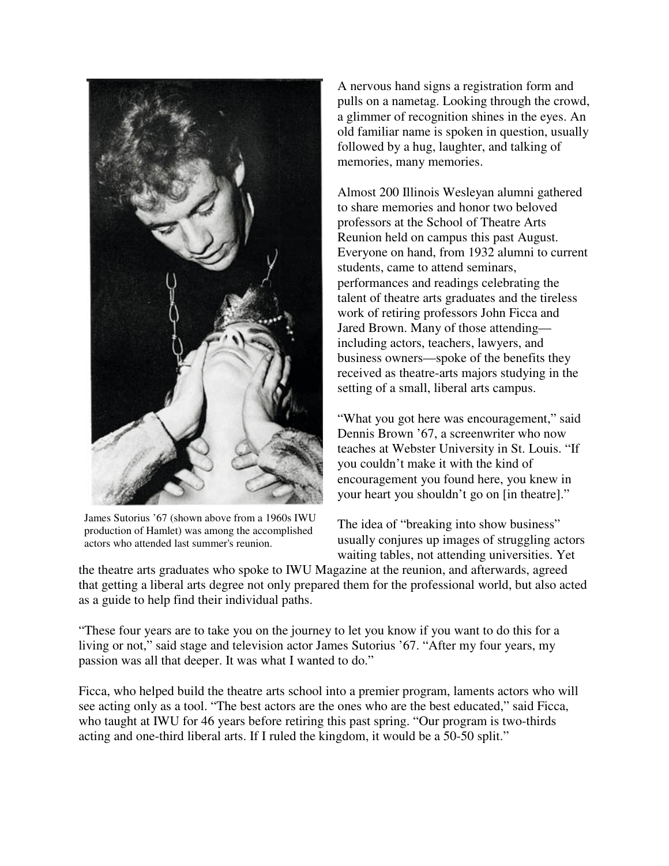

James Sutorius '67 (shown above from a 1960s IWU production of Hamlet) was among the accomplished actors who attended last summer's reunion.

A nervous hand signs a registration form and pulls on a nametag. Looking through the crowd, a glimmer of recognition shines in the eyes. An old familiar name is spoken in question, usually followed by a hug, laughter, and talking of memories, many memories.

Almost 200 Illinois Wesleyan alumni gathered to share memories and honor two beloved professors at the School of Theatre Arts Reunion held on campus this past August. Everyone on hand, from 1932 alumni to current students, came to attend seminars, performances and readings celebrating the talent of theatre arts graduates and the tireless work of retiring professors John Ficca and Jared Brown. Many of those attending including actors, teachers, lawyers, and business owners—spoke of the benefits they received as theatre-arts majors studying in the setting of a small, liberal arts campus.

"What you got here was encouragement," said Dennis Brown '67, a screenwriter who now teaches at Webster University in St. Louis. "If you couldn't make it with the kind of encouragement you found here, you knew in your heart you shouldn't go on [in theatre]."

The idea of "breaking into show business" usually conjures up images of struggling actors waiting tables, not attending universities. Yet

the theatre arts graduates who spoke to IWU Magazine at the reunion, and afterwards, agreed that getting a liberal arts degree not only prepared them for the professional world, but also acted as a guide to help find their individual paths.

"These four years are to take you on the journey to let you know if you want to do this for a living or not," said stage and television actor James Sutorius '67. "After my four years, my passion was all that deeper. It was what I wanted to do."

Ficca, who helped build the theatre arts school into a premier program, laments actors who will see acting only as a tool. "The best actors are the ones who are the best educated," said Ficca, who taught at IWU for 46 years before retiring this past spring. "Our program is two-thirds acting and one-third liberal arts. If I ruled the kingdom, it would be a 50-50 split."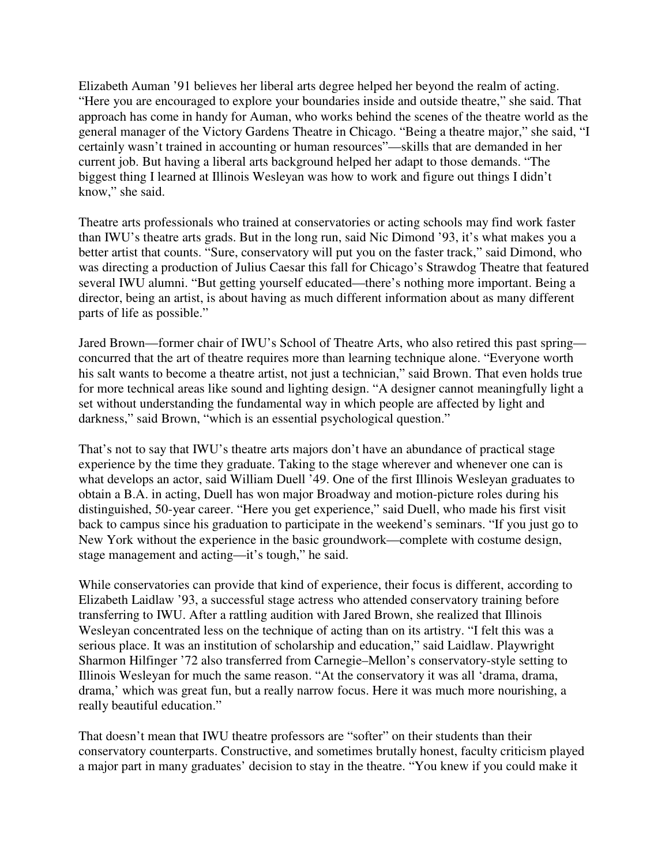Elizabeth Auman '91 believes her liberal arts degree helped her beyond the realm of acting. "Here you are encouraged to explore your boundaries inside and outside theatre," she said. That approach has come in handy for Auman, who works behind the scenes of the theatre world as the general manager of the Victory Gardens Theatre in Chicago. "Being a theatre major," she said, "I certainly wasn't trained in accounting or human resources"—skills that are demanded in her current job. But having a liberal arts background helped her adapt to those demands. "The biggest thing I learned at Illinois Wesleyan was how to work and figure out things I didn't know," she said.

Theatre arts professionals who trained at conservatories or acting schools may find work faster than IWU's theatre arts grads. But in the long run, said Nic Dimond '93, it's what makes you a better artist that counts. "Sure, conservatory will put you on the faster track," said Dimond, who was directing a production of Julius Caesar this fall for Chicago's Strawdog Theatre that featured several IWU alumni. "But getting yourself educated—there's nothing more important. Being a director, being an artist, is about having as much different information about as many different parts of life as possible."

Jared Brown—former chair of IWU's School of Theatre Arts, who also retired this past spring concurred that the art of theatre requires more than learning technique alone. "Everyone worth his salt wants to become a theatre artist, not just a technician," said Brown. That even holds true for more technical areas like sound and lighting design. "A designer cannot meaningfully light a set without understanding the fundamental way in which people are affected by light and darkness," said Brown, "which is an essential psychological question."

That's not to say that IWU's theatre arts majors don't have an abundance of practical stage experience by the time they graduate. Taking to the stage wherever and whenever one can is what develops an actor, said William Duell '49. One of the first Illinois Wesleyan graduates to obtain a B.A. in acting, Duell has won major Broadway and motion-picture roles during his distinguished, 50-year career. "Here you get experience," said Duell, who made his first visit back to campus since his graduation to participate in the weekend's seminars. "If you just go to New York without the experience in the basic groundwork—complete with costume design, stage management and acting—it's tough," he said.

While conservatories can provide that kind of experience, their focus is different, according to Elizabeth Laidlaw '93, a successful stage actress who attended conservatory training before transferring to IWU. After a rattling audition with Jared Brown, she realized that Illinois Wesleyan concentrated less on the technique of acting than on its artistry. "I felt this was a serious place. It was an institution of scholarship and education," said Laidlaw. Playwright Sharmon Hilfinger '72 also transferred from Carnegie–Mellon's conservatory-style setting to Illinois Wesleyan for much the same reason. "At the conservatory it was all 'drama, drama, drama,' which was great fun, but a really narrow focus. Here it was much more nourishing, a really beautiful education."

That doesn't mean that IWU theatre professors are "softer" on their students than their conservatory counterparts. Constructive, and sometimes brutally honest, faculty criticism played a major part in many graduates' decision to stay in the theatre. "You knew if you could make it